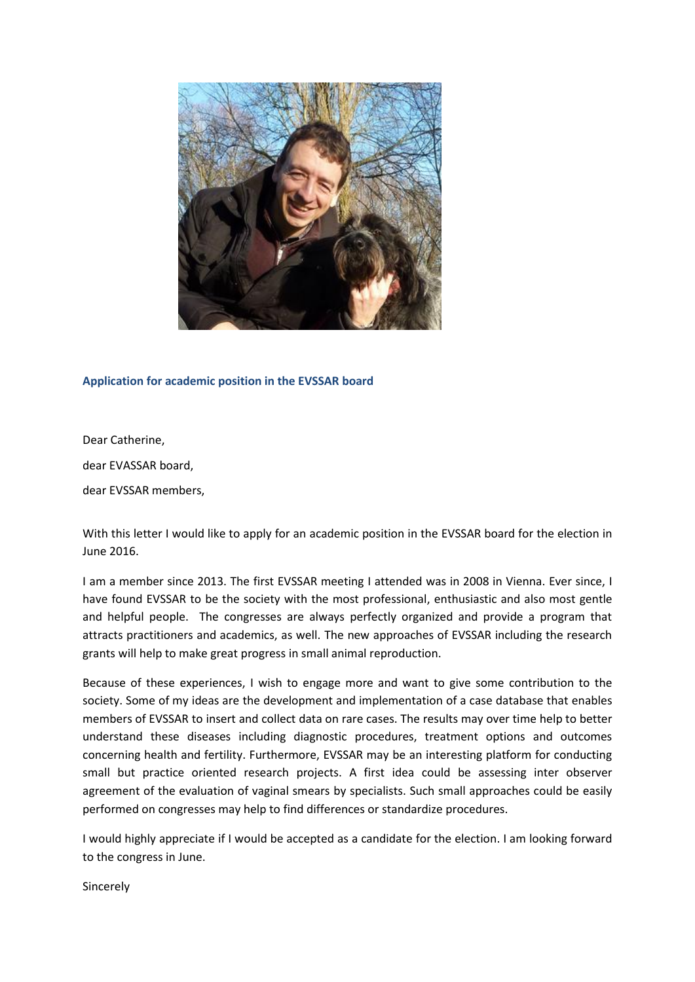

## **Application for academic position in the EVSSAR board**

Dear Catherine,

dear EVASSAR board,

dear EVSSAR members,

With this letter I would like to apply for an academic position in the EVSSAR board for the election in June 2016.

I am a member since 2013. The first EVSSAR meeting I attended was in 2008 in Vienna. Ever since, I have found EVSSAR to be the society with the most professional, enthusiastic and also most gentle and helpful people. The congresses are always perfectly organized and provide a program that attracts practitioners and academics, as well. The new approaches of EVSSAR including the research grants will help to make great progress in small animal reproduction.

Because of these experiences, I wish to engage more and want to give some contribution to the society. Some of my ideas are the development and implementation of a case database that enables members of EVSSAR to insert and collect data on rare cases. The results may over time help to better understand these diseases including diagnostic procedures, treatment options and outcomes concerning health and fertility. Furthermore, EVSSAR may be an interesting platform for conducting small but practice oriented research projects. A first idea could be assessing inter observer agreement of the evaluation of vaginal smears by specialists. Such small approaches could be easily performed on congresses may help to find differences or standardize procedures.

I would highly appreciate if I would be accepted as a candidate for the election. I am looking forward to the congress in June.

Sincerely